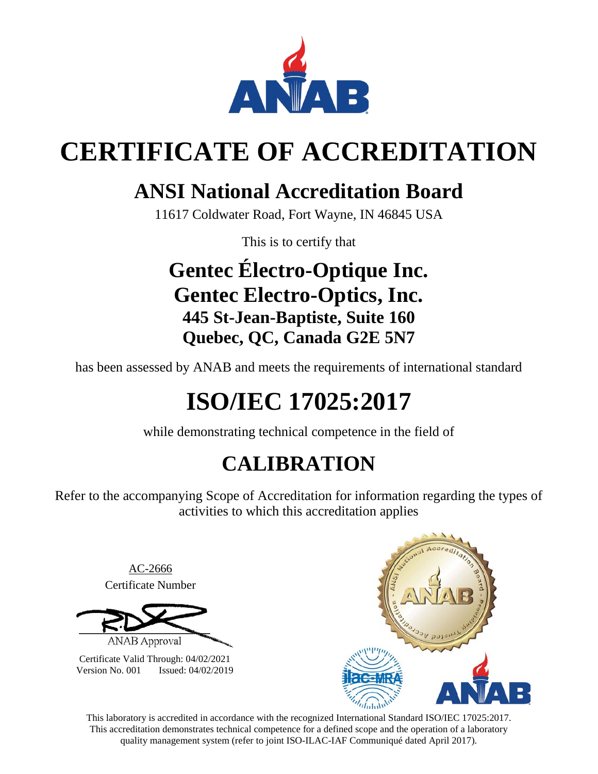

# **CERTIFICATE OF ACCREDITATION**

## **ANSI National Accreditation Board**

11617 Coldwater Road, Fort Wayne, IN 46845 USA

This is to certify that

## **Gentec Électro-Optique Inc. Gentec Electro-Optics, Inc. 445 St-Jean-Baptiste, Suite 160 Quebec, QC, Canada G2E 5N7**

has been assessed by ANAB and meets the requirements of international standard

# **ISO/IEC 17025:2017**

while demonstrating technical competence in the field of

## **CALIBRATION**

Refer to the accompanying Scope of Accreditation for information regarding the types of activities to which this accreditation applies

> AC-2666 Certificate Number

**ANAB** Approval

Certificate Valid Through: 04/02/2021 Version No. 001 Issued: 04/02/2019



This laboratory is accredited in accordance with the recognized International Standard ISO/IEC 17025:2017. This accreditation demonstrates technical competence for a defined scope and the operation of a laboratory quality management system (refer to joint ISO-ILAC-IAF Communiqué dated April 2017).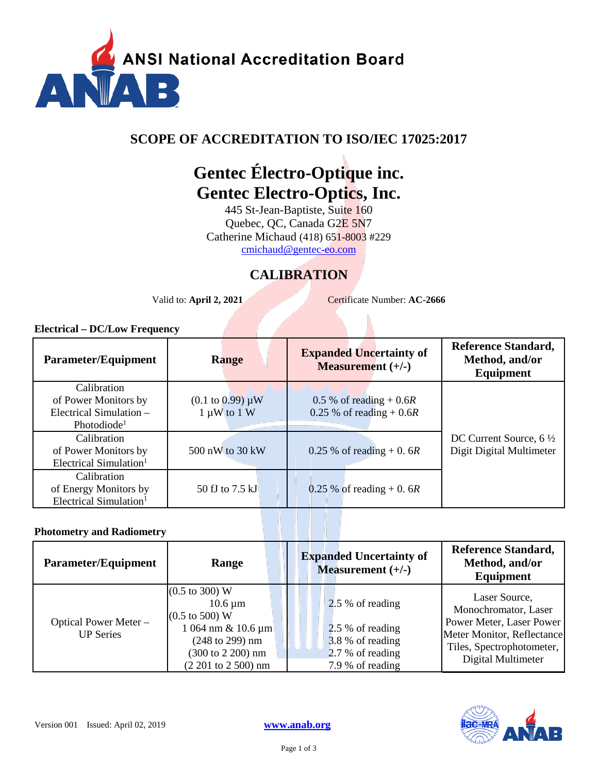

### **SCOPE OF ACCREDITATION TO ISO/IEC 17025:2017**

## **Gentec Électro-Optique inc. Gentec Electro-Optics, Inc.**

445 St-Jean-Baptiste, Suite 160 Quebec, QC, Canada G2E 5N7 Catherine Michaud (418) 651-8003 #229 [cmichaud@gentec-eo.com](mailto:cmichaud@gentec-eo.com) 

### **CALIBRATION**

Valid to: **April 2, 2021** Certificate Number: **AC-2666** 

### **Electrical – DC/Low Frequency**

| Parameter/Equipment                | <b>Range</b>                   | <b>Expanded Uncertainty of</b><br><b>Measurement</b> $(+/-)$ | <b>Reference Standard,</b><br>Method, and/or<br>Equipment |
|------------------------------------|--------------------------------|--------------------------------------------------------------|-----------------------------------------------------------|
| Calibration                        |                                |                                                              |                                                           |
| of Power Monitors by               | $(0.1 \text{ to } 0.99) \mu W$ | $0.5\%$ of reading + 0.6R                                    |                                                           |
| Electrical Simulation -            | $1 \mu W$ to $1 W$             | 0.25 % of reading + $0.6R$                                   |                                                           |
| Photodiode <sup>1</sup>            |                                |                                                              |                                                           |
| Calibration                        |                                |                                                              | DC Current Source, $6\frac{1}{2}$                         |
| of Power Monitors by               | 500 nW to 30 kW                | 0.25 % of reading + 0.6R                                     | Digit Digital Multimeter                                  |
| Electrical Simulation <sup>1</sup> |                                |                                                              |                                                           |
| Calibration                        |                                |                                                              |                                                           |
| of Energy Monitors by              | 50 fJ to 7.5 kJ                | 0.25 % of reading $+$ 0.6R                                   |                                                           |
| Electrical Simulation <sup>1</sup> |                                |                                                              |                                                           |

### **Photometry and Radiometry**

| Parameter/Equipment                       | Range                                                                                                                                                                                                      | <b>Expanded Uncertainty of</b><br>Measurement $(+/-)$                                            | <b>Reference Standard,</b><br>Method, and/or<br>Equipment                                                                                          |
|-------------------------------------------|------------------------------------------------------------------------------------------------------------------------------------------------------------------------------------------------------------|--------------------------------------------------------------------------------------------------|----------------------------------------------------------------------------------------------------------------------------------------------------|
| Optical Power Meter -<br><b>UP Series</b> | $(0.5 \text{ to } 300) \text{ W}$<br>$10.6 \,\mathrm{\upmu m}$<br>$(0.5 \text{ to } 500) \text{ W}$<br>$1064 \text{ nm} \& 10.6 \text{ µm}$<br>(248 to 299) nm<br>(300 to 2 200) nm<br>(2 201 to 2 500) nm | 2.5 % of reading<br>2.5 % of reading<br>3.8 % of reading<br>2.7 % of reading<br>7.9 % of reading | Laser Source,<br>Monochromator, Laser<br>Power Meter, Laser Power<br>Meter Monitor, Reflectance<br>Tiles, Spectrophotometer,<br>Digital Multimeter |

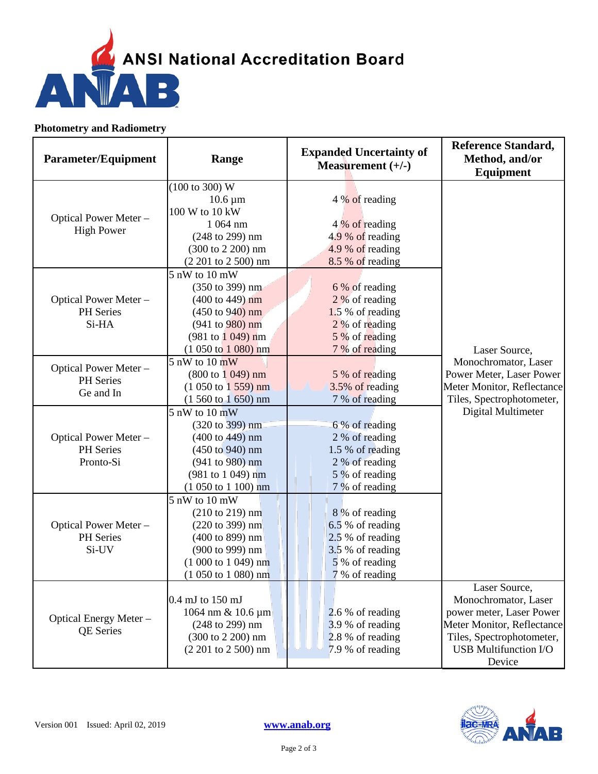

### **Photometry and Radiometry**

| <b>Parameter/Equipment</b>                      | Range                                                                                                                                                                                                                                 | <b>Expanded Uncertainty of</b><br>Measurement $(+/-)$                                                          | <b>Reference Standard,</b><br>Method, and/or<br>Equipment                                                                                                              |
|-------------------------------------------------|---------------------------------------------------------------------------------------------------------------------------------------------------------------------------------------------------------------------------------------|----------------------------------------------------------------------------------------------------------------|------------------------------------------------------------------------------------------------------------------------------------------------------------------------|
| Optical Power Meter -<br><b>High Power</b>      | (100 to 300) W<br>$10.6 \,\mathrm{\upmu m}$<br>100 W to 10 kW<br>1 064 nm<br>(248 to 299) nm<br>(300 to 2 200) nm<br>$(2 201$ to $2 500)$ nm                                                                                          | 4 % of reading<br>4 % of reading<br>4.9 % of reading<br>4.9 % of reading<br>8.5 % of reading                   |                                                                                                                                                                        |
| Optical Power Meter -<br>PH Series<br>Si-HA     | 5 nW to 10 mW<br>(350 to 399) nm<br>$(400 \text{ to } 449) \text{ nm}$<br>$(450 \text{ to } 940) \text{ nm}$<br>$(941 \text{ to } 980) \text{ nm}$<br>$(981 \text{ to } 1049) \text{ nm}$<br>$(1050 \text{ to } 1080) \text{ nm}$     | 6 % of reading<br>2 % of reading<br>1.5 % of reading<br>2 % of reading<br>5 % of reading<br>7 % of reading     | Laser Source,                                                                                                                                                          |
| Optical Power Meter -<br>PH Series<br>Ge and In | $5 \text{ nW}$ to $10 \text{ mW}$<br>$(800 \text{ to } 1049) \text{ nm}$<br>$(1050 \text{ to } 1559) \text{ nm}$<br>$(1560 \text{ to } 1650) \text{ nm}$                                                                              | 5 % of reading<br>3.5% of reading<br>7 % of reading                                                            | Monochromator, Laser<br>Power Meter, Laser Power<br>Meter Monitor, Reflectance<br>Tiles, Spectrophotometer,                                                            |
| Optical Power Meter -<br>PH Series<br>Pronto-Si | $5 \text{ nW}$ to $10 \text{ mW}$<br>$(320 \text{ to } 399) \text{ nm}$<br>$(400 \text{ to } 449) \text{ nm}$<br>$(450 \text{ to } 940) \text{ nm}$<br>$(941 to 980)$ nm<br>(981 to 1 049) nm<br>$(1050 \text{ to } 1100) \text{ nm}$ | 6% of reading<br>2 % of reading<br>1.5 % of reading<br>2 % of reading<br>5 % of reading<br>7 % of reading      | Digital Multimeter                                                                                                                                                     |
| Optical Power Meter -<br>PH Series<br>Si-UV     | 5 nW to 10 mW<br>$(210 \text{ to } 219) \text{ nm}$<br>$(220 \text{ to } 399) \text{ nm}$<br>(400 to 899) nm<br>(900 to 999) nm<br>$(1000 to 1049)$ nm<br>$(1050 \text{ to } 1080) \text{ nm}$                                        | 8 % of reading<br>6.5 % of reading<br>2.5 % of reading<br>3.5 % of reading<br>5 % of reading<br>7 % of reading |                                                                                                                                                                        |
| Optical Energy Meter-<br><b>QE</b> Series       | 0.4 mJ to 150 mJ<br>1064 nm & 10.6 μm<br>(248 to 299) nm<br>(300 to 2 200) nm<br>$(2 201$ to $2 500$ ) nm                                                                                                                             | $2.6\%$ of reading<br>3.9 % of reading<br>2.8 % of reading<br>7.9 % of reading                                 | Laser Source,<br>Monochromator, Laser<br>power meter, Laser Power<br>Meter Monitor, Reflectance<br>Tiles, Spectrophotometer,<br><b>USB Multifunction I/O</b><br>Device |